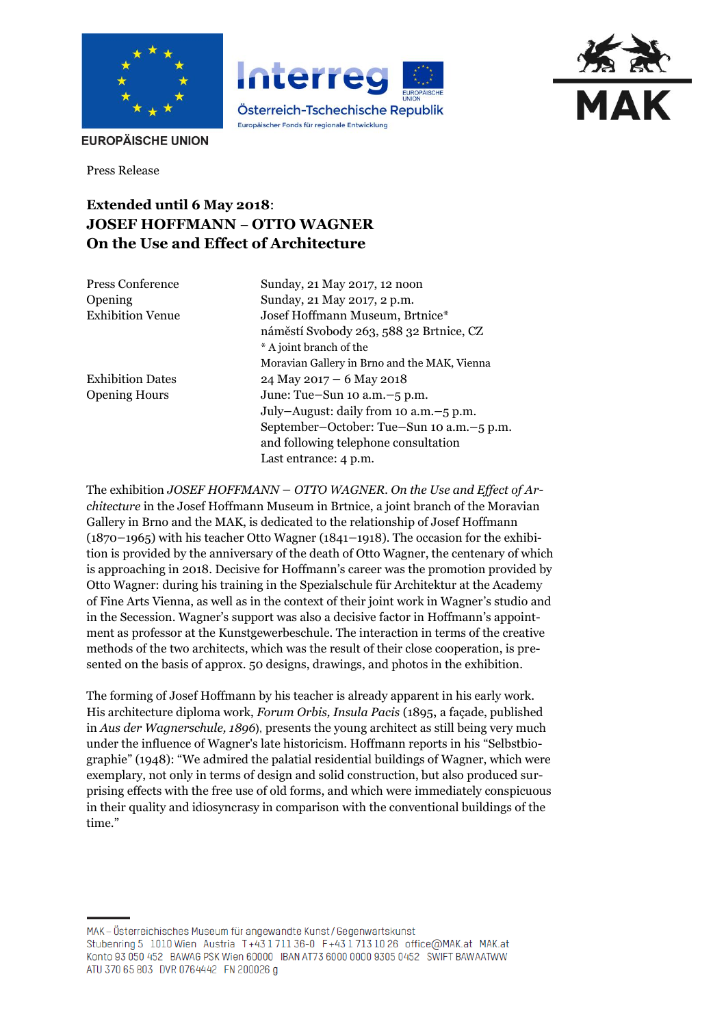





**EUROPÄISCHE UNION** 

Press Release

## **Extended until 6 May 2018**: **JOSEF HOFFMANN** – **OTTO WAGNER On the Use and Effect of Architecture**

Press Conference Sunday, 21 May 2017, 12 noon Opening Sunday, 21 May 2017, 2 p.m. Exhibition Venue Josef Hoffmann Museum, Brtnice\* náměstí Svobody 263, 588 32 Brtnice, CZ \* A joint branch of the Moravian Gallery in Brno and the MAK, Vienna Exhibition Dates 24 May 2017 – 6 May 2018 Opening Hours June: Tue–Sun 10 a.m.–5 p.m. July–August: daily from 10 a.m.–5 p.m. September–October: Tue–Sun 10 a.m.–5 p.m. and following telephone consultation Last entrance: 4 p.m.

The exhibition *JOSEF HOFFMANN* – *OTTO WAGNER. On the Use and Effect of Architecture* in the Josef Hoffmann Museum in Brtnice, a joint branch of the Moravian Gallery in Brno and the MAK, is dedicated to the relationship of Josef Hoffmann (1870–1965) with his teacher Otto Wagner (1841–1918). The occasion for the exhibition is provided by the anniversary of the death of Otto Wagner, the centenary of which is approaching in 2018. Decisive for Hoffmann's career was the promotion provided by Otto Wagner: during his training in the Spezialschule für Architektur at the Academy of Fine Arts Vienna, as well as in the context of their joint work in Wagner's studio and in the Secession. Wagner's support was also a decisive factor in Hoffmann's appointment as professor at the Kunstgewerbeschule. The interaction in terms of the creative methods of the two architects, which was the result of their close cooperation, is presented on the basis of approx. 50 designs, drawings, and photos in the exhibition.

The forming of Josef Hoffmann by his teacher is already apparent in his early work. His architecture diploma work, *Forum Orbis, Insula Pacis* (1895, a façade, published in *Aus der Wagnerschule, 1896*), presents the young architect as still being very much under the influence of Wagner's late historicism. Hoffmann reports in his "Selbstbiographie" (1948): "We admired the palatial residential buildings of Wagner, which were exemplary, not only in terms of design and solid construction, but also produced surprising effects with the free use of old forms, and which were immediately conspicuous in their quality and idiosyncrasy in comparison with the conventional buildings of the time."

MAK – Österreichisches Museum für angewandte Kunst/Gegenwartskunst Stubenring 5 1010 Wien Austria T+43 1 711 36-0 F+43 1 713 10 26 office@MAK.at MAK.at Konto 93 050 452 BAWAG PSK Wien 60000 IBAN AT73 6000 0000 9305 0452 SWIFT BAWAATWW ATU 370 65 803 DVR 0764442 FN 200026 g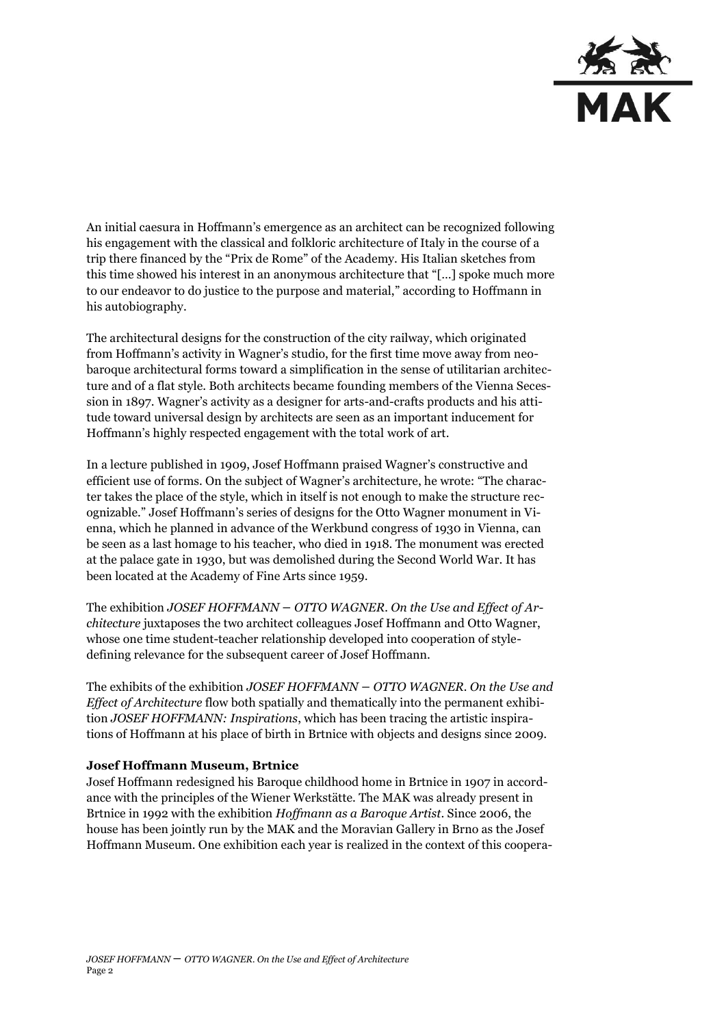

An initial caesura in Hoffmann's emergence as an architect can be recognized following his engagement with the classical and folkloric architecture of Italy in the course of a trip there financed by the "Prix de Rome" of the Academy. His Italian sketches from this time showed his interest in an anonymous architecture that "[…] spoke much more to our endeavor to do justice to the purpose and material," according to Hoffmann in his autobiography.

The architectural designs for the construction of the city railway, which originated from Hoffmann's activity in Wagner's studio, for the first time move away from neobaroque architectural forms toward a simplification in the sense of utilitarian architecture and of a flat style. Both architects became founding members of the Vienna Secession in 1897. Wagner's activity as a designer for arts-and-crafts products and his attitude toward universal design by architects are seen as an important inducement for Hoffmann's highly respected engagement with the total work of art.

In a lecture published in 1909, Josef Hoffmann praised Wagner's constructive and efficient use of forms. On the subject of Wagner's architecture, he wrote: "The character takes the place of the style, which in itself is not enough to make the structure recognizable." Josef Hoffmann's series of designs for the Otto Wagner monument in Vienna, which he planned in advance of the Werkbund congress of 1930 in Vienna, can be seen as a last homage to his teacher, who died in 1918. The monument was erected at the palace gate in 1930, but was demolished during the Second World War. It has been located at the Academy of Fine Arts since 1959.

The exhibition *JOSEF HOFFMANN* – *OTTO WAGNER. On the Use and Effect of Architecture* juxtaposes the two architect colleagues Josef Hoffmann and Otto Wagner, whose one time student-teacher relationship developed into cooperation of styledefining relevance for the subsequent career of Josef Hoffmann.

The exhibits of the exhibition *JOSEF HOFFMANN* – *OTTO WAGNER. On the Use and Effect of Architecture* flow both spatially and thematically into the permanent exhibition *JOSEF HOFFMANN: Inspirations*, which has been tracing the artistic inspirations of Hoffmann at his place of birth in Brtnice with objects and designs since 2009.

## **Josef Hoffmann Museum, Brtnice**

Josef Hoffmann redesigned his Baroque childhood home in Brtnice in 1907 in accordance with the principles of the Wiener Werkstätte. The MAK was already present in Brtnice in 1992 with the exhibition *Hoffmann as a Baroque Artist*. Since 2006, the house has been jointly run by the MAK and the Moravian Gallery in Brno as the Josef Hoffmann Museum. One exhibition each year is realized in the context of this coopera-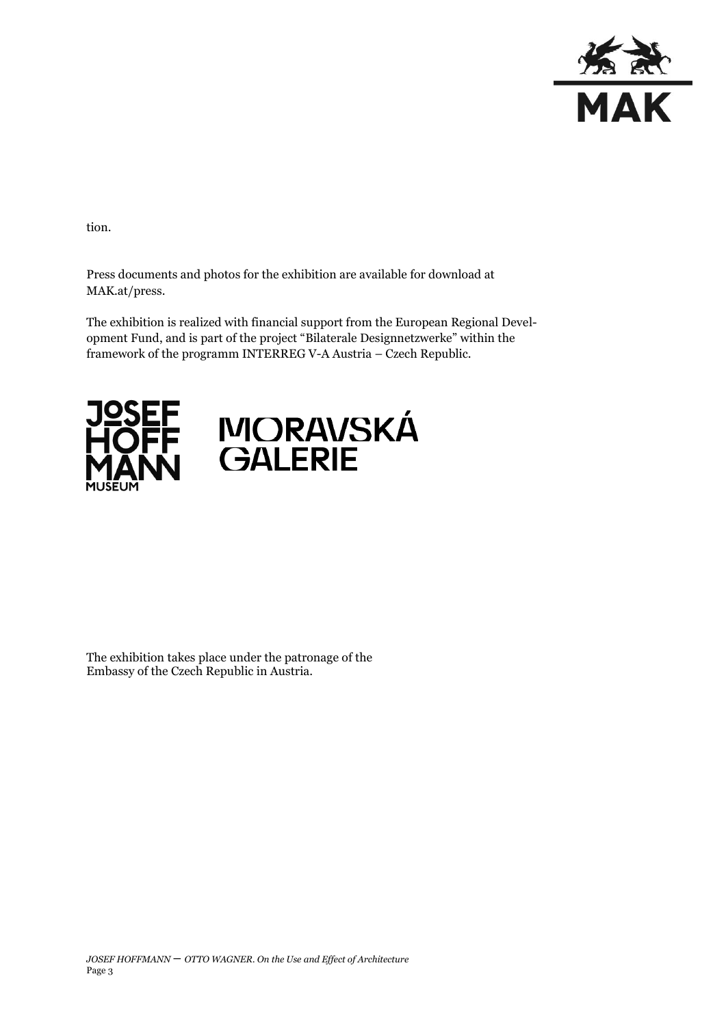

tion.

Press documents and photos for the exhibition are available for download at MAK.at/press.

The exhibition is realized with financial support from the European Regional Development Fund, and is part of the project "Bilaterale Designnetzwerke" within the framework of the programm INTERREG V-A Austria – Czech Republic.



The exhibition takes place under the patronage of the Embassy of the Czech Republic in Austria.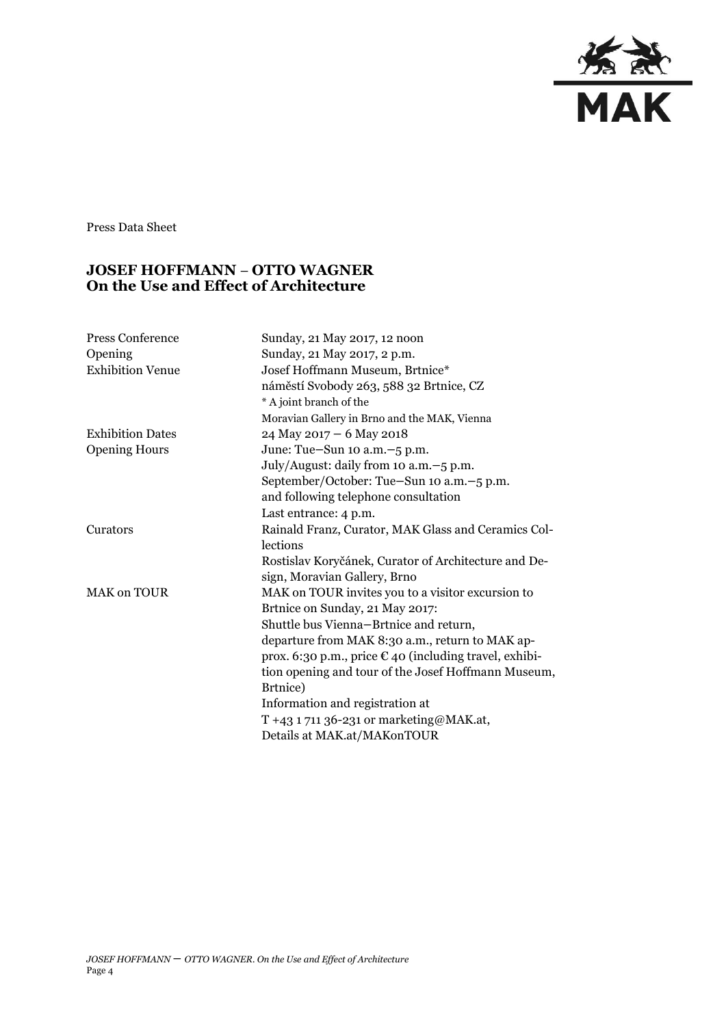

Press Data Sheet

## **JOSEF HOFFMANN** – **OTTO WAGNER On the Use and Effect of Architecture**

| <b>Press Conference</b> | Sunday, 21 May 2017, 12 noon                                    |
|-------------------------|-----------------------------------------------------------------|
| Opening                 | Sunday, 21 May 2017, 2 p.m.                                     |
| <b>Exhibition Venue</b> | Josef Hoffmann Museum, Brtnice*                                 |
|                         | náměstí Svobody 263, 588 32 Brtnice, CZ                         |
|                         | * A joint branch of the                                         |
|                         | Moravian Gallery in Brno and the MAK, Vienna                    |
| <b>Exhibition Dates</b> | 24 May 2017 - 6 May 2018                                        |
| <b>Opening Hours</b>    | June: Tue-Sun 10 a.m. -5 p.m.                                   |
|                         | July/August: daily from 10 a.m. -5 p.m.                         |
|                         | September/October: Tue-Sun 10 a.m.-5 p.m.                       |
|                         | and following telephone consultation                            |
|                         | Last entrance: 4 p.m.                                           |
| Curators                | Rainald Franz, Curator, MAK Glass and Ceramics Col-             |
|                         | lections                                                        |
|                         | Rostislav Koryčánek, Curator of Architecture and De-            |
|                         | sign, Moravian Gallery, Brno                                    |
| MAK on TOUR             | MAK on TOUR invites you to a visitor excursion to               |
|                         | Brtnice on Sunday, 21 May 2017:                                 |
|                         | Shuttle bus Vienna-Brtnice and return,                          |
|                         | departure from MAK 8:30 a.m., return to MAK ap-                 |
|                         | prox. 6:30 p.m., price $\epsilon$ 40 (including travel, exhibi- |
|                         | tion opening and tour of the Josef Hoffmann Museum,             |
|                         | Brtnice)                                                        |
|                         | Information and registration at                                 |
|                         | T +43 1 711 36-231 or marketing@MAK.at,                         |
|                         | Details at MAK.at/MAKonTOUR                                     |
|                         |                                                                 |